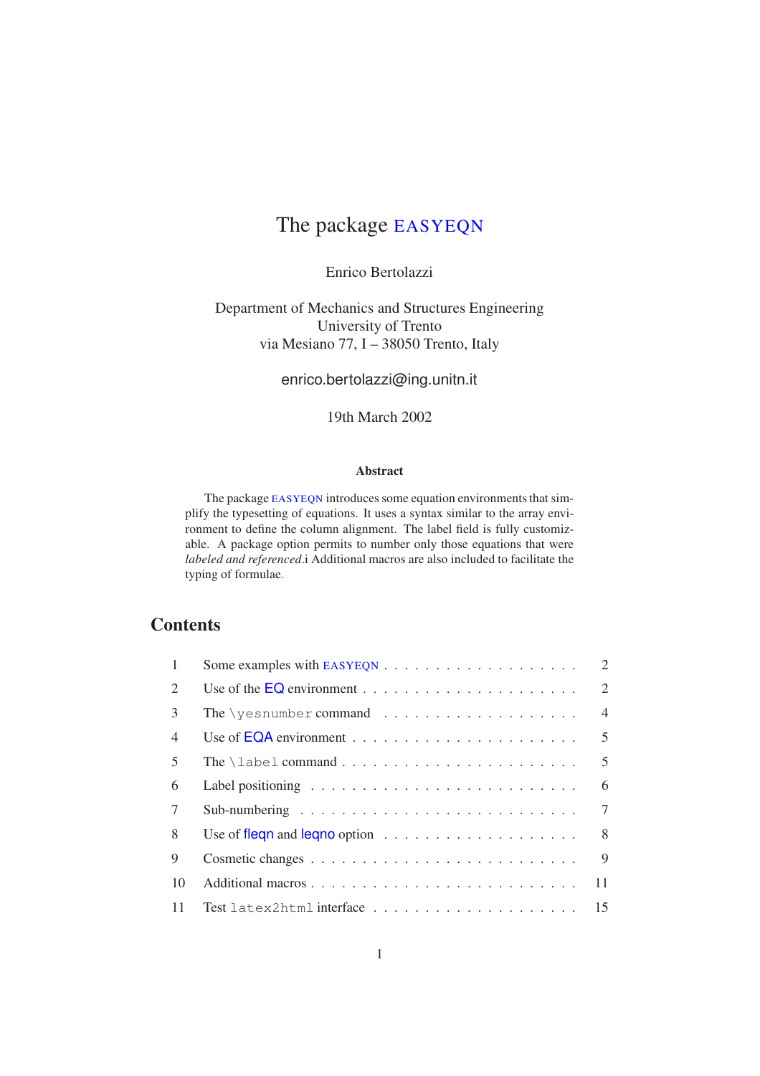#### Enrico Bertolazzi

Department of Mechanics and Structures Engineering University of Trento via Mesiano 77, I – 38050 Trento, Italy

enrico.bertolazzi@ing.unitn.it

19th March 2002

#### Abstract

The package EASYEQN introduces some equation environments that simplify the typesetting of equations. It uses a syntax similar to the array environment to define the column alignment. The label field is fully customizable. A package option permits to number only those equations that were *labeled and referenced*.i Additional macros are also included to facilitate the typing of formulae.

## **Contents**

|                |                                                                             | 2              |
|----------------|-----------------------------------------------------------------------------|----------------|
| $\overline{2}$ |                                                                             | $\overline{2}$ |
| 3              | The \yesnumber command $\dots\dots\dots\dots\dots\dots\dots$                | $\overline{4}$ |
| $\overline{4}$ |                                                                             | $\overline{5}$ |
| 5              |                                                                             | $\mathfrak{F}$ |
| 6              |                                                                             | 6              |
| $\tau$         |                                                                             | $\overline{7}$ |
| 8              | Use of flequentle degree option $\ldots \ldots \ldots \ldots \ldots \ldots$ | 8              |
| $\mathbf Q$    |                                                                             | $\mathbf Q$    |
| 10             |                                                                             | 11             |
| 11             |                                                                             |                |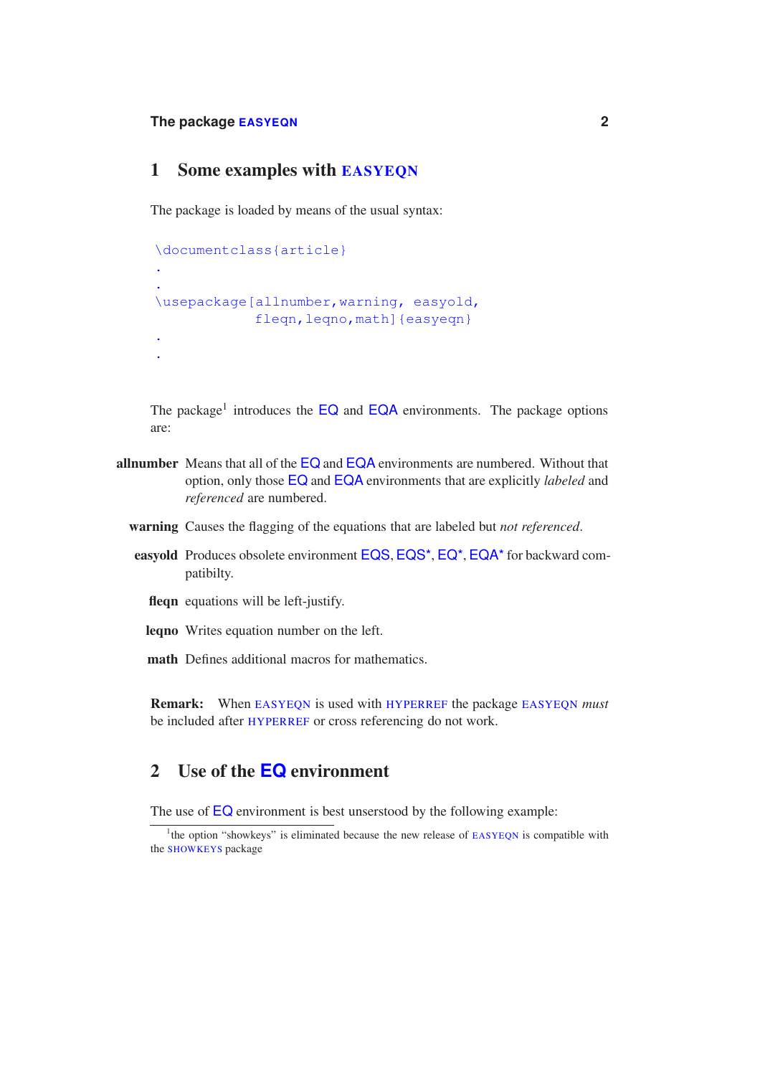### 1 Some examples with EASYEQN

The package is loaded by means of the usual syntax:

```
\documentclass{article}
.
.
\usepackage[allnumber,warning, easyold,
            flegn, legno, mathl{easyegn}
.
.
```
The package<sup>1</sup> introduces the  $\overline{EQ}$  and  $\overline{EQ}$  environments. The package options are:

- allnumber Means that all of the EQ and EQA environments are numbered. Without that option, only those EQ and EQA environments that are explicitly *labeled* and *referenced* are numbered.
	- warning Causes the flagging of the equations that are labeled but *not referenced*.
	- easyold Produces obsolete environment EQS, EQS<sup>\*</sup>, EQ<sup>\*</sup>, EQA<sup>\*</sup> for backward compatibilty.
		- fleqn equations will be left-justify.
		- leqno Writes equation number on the left.
		- math Defines additional macros for mathematics.

Remark: When EASYEQN is used with HYPERREF the package EASYEQN *must* be included after HYPERREF or cross referencing do not work.

### 2 Use of the **EQ** environment

The use of  $EQ$  environment is best unserstood by the following example:

<sup>&</sup>lt;sup>1</sup>the option "showkeys" is eliminated because the new release of EASYEQN is compatible with the SHOWKEYS package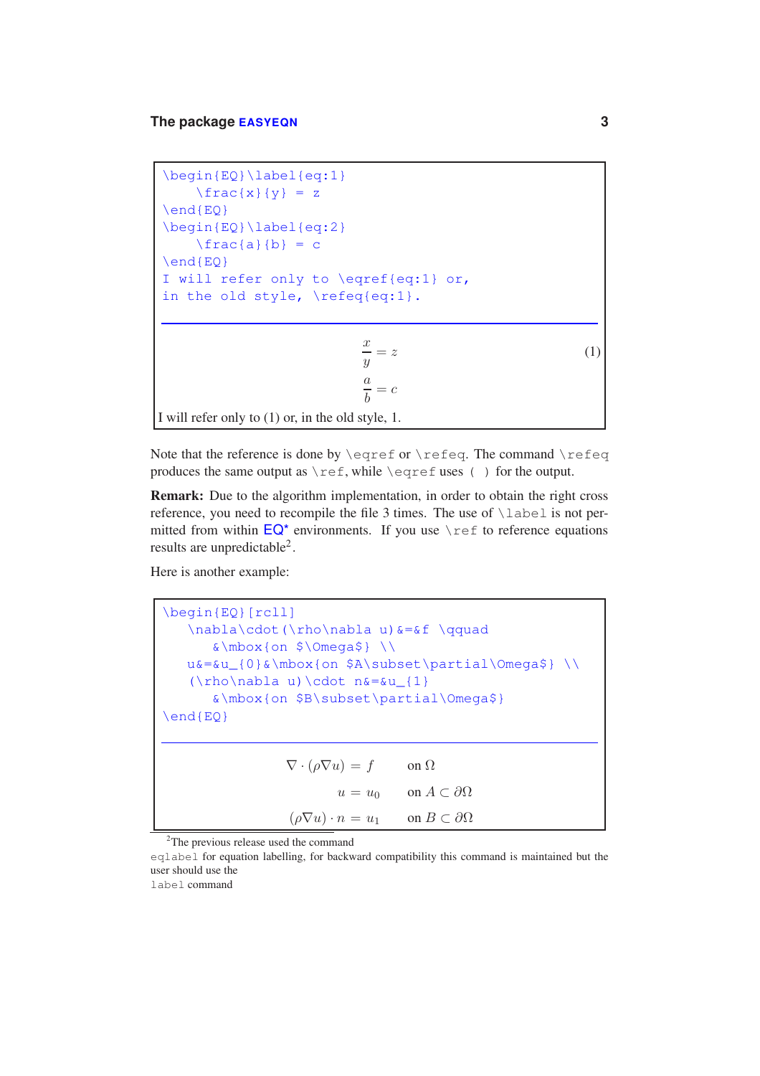```
\begin{EQ}\label{eq:1}
     \frac{x}{y} = z\end{EQ}
\begin{EQ}\label{eq:2}
     \frac{a}{b} = c\end{EQ}
I will refer only to \eqref{eq:1} or,
in the old style, \refeq{eq:1}.
                           \frac{x}{y} = z (1)
                           \frac{a}{b} = cI will refer only to (1) or, in the old style, 1.
```
Note that the reference is done by  $\equiv$  or  $\lceil$  refeq. The command  $\lceil$  refeq. produces the same output as \ref, while \eqref uses ( ) for the output.

Remark: Due to the algorithm implementation, in order to obtain the right cross reference, you need to recompile the file 3 times. The use of  $\lambda$ label is not permitted from within  $\overline{EQ}^*$  environments. If you use  $\lceil \text{ref} \rceil$  to reference equations results are unpredictable2 .

Here is another example:

\begin{EQ}[rcll] \nabla\cdot(\rho\nabla u)&=&f \qquad &\mbox{on \$\Omega\$} \\ u&=&u\_{0}&\mbox{on \$A\subset\partial\Omega\$} \\  $(\rho\neq 0) \cdot n$  =  $u_{1}$ &\mbox{on \$B\subset\partial\Omega\$} \end{EQ}  $\nabla \cdot (\rho \nabla u) = f$  on  $\Omega$  $u = u_0$  on  $A \subset \partial\Omega$  $(\rho \nabla u) \cdot n = u_1$  on  $B \subset \partial \Omega$ 

<sup>2</sup>The previous release used the command

eqlabel for equation labelling, for backward compatibility this command is maintained but the user should use the

label command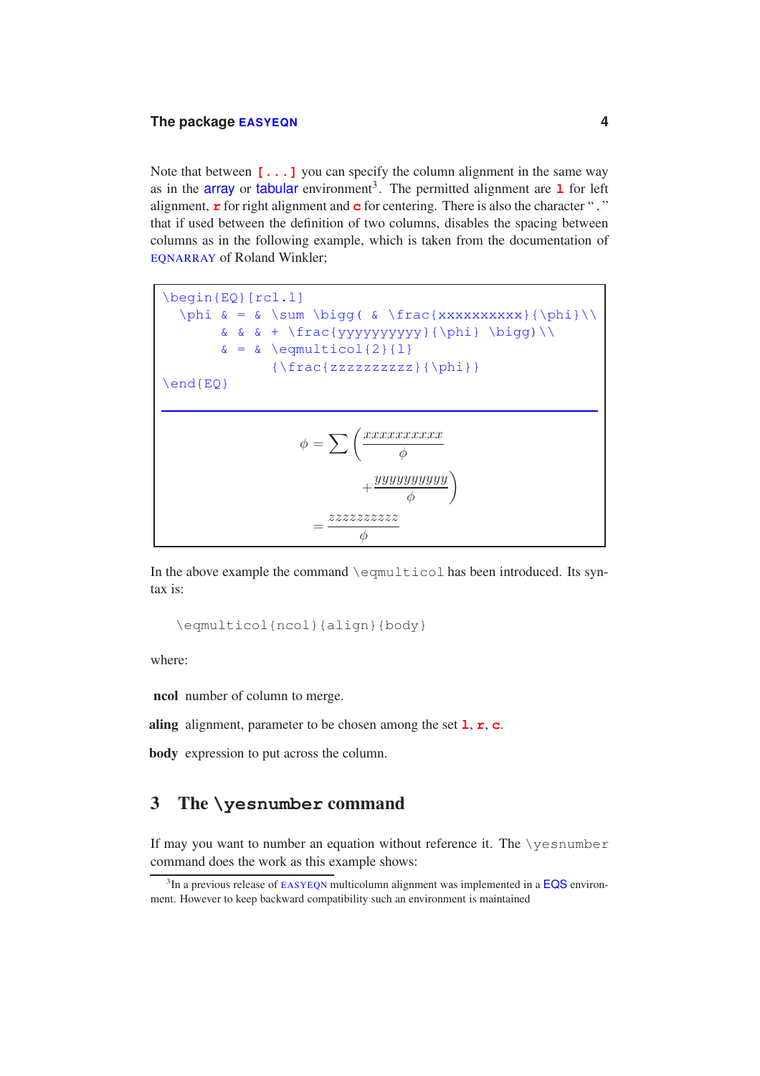Note that between  $[\ldots]$  you can specify the column alignment in the same way as in the **array** or **tabular** environment<sup>3</sup>. The permitted alignment are  $\bf{1}$  for left alignment, **r** for right alignment and **c** for centering. There is also the character "**.**" that if used between the definition of two columns, disables the spacing between columns as in the following example, which is taken from the documentation of EQNARRAY of Roland Winkler;

\begin{EQ}[rcl.l] \phi & = & \sum \bigg( & \frac{xxxxxxxxxx}{\phi}\\  $&&f{ + \frac{yyyyyyyyy}{\phi} \big| \big|$  $\& = \& \text{\\equation} \{2\} \{1\}$  ${\frac{zzzzzzzzzz}{\phi}}$ \end{EQ}  $\phi = \sum_{k=1}^{N} \left( \frac{xxxxxxxxx}{k} \right)$ φ  $+\frac{yyyyyyyyyy}{\sqrt{2}}$ φ  $\setminus$  $=\frac{zzzzzzzzzz}{\sqrt{z}}$ φ

In the above example the command \eqmulticol has been introduced. Its syntax is:

\eqmulticol{ncol}{align}{body}

where:

ncol number of column to merge.

aling alignment, parameter to be chosen among the set **l**, **r**, **c**.

body expression to put across the column.

### 3 The **\yesnumber** command

If may you want to number an equation without reference it. The \yesnumber command does the work as this example shows:

 ${}^{3}$ In a previous release of EASYEQN multicolumn alignment was implemented in a **EQS** environ-<br>the However to keep backward compatibility such an environment is maintained ment. However to keep backward compatibility such an environment is maintained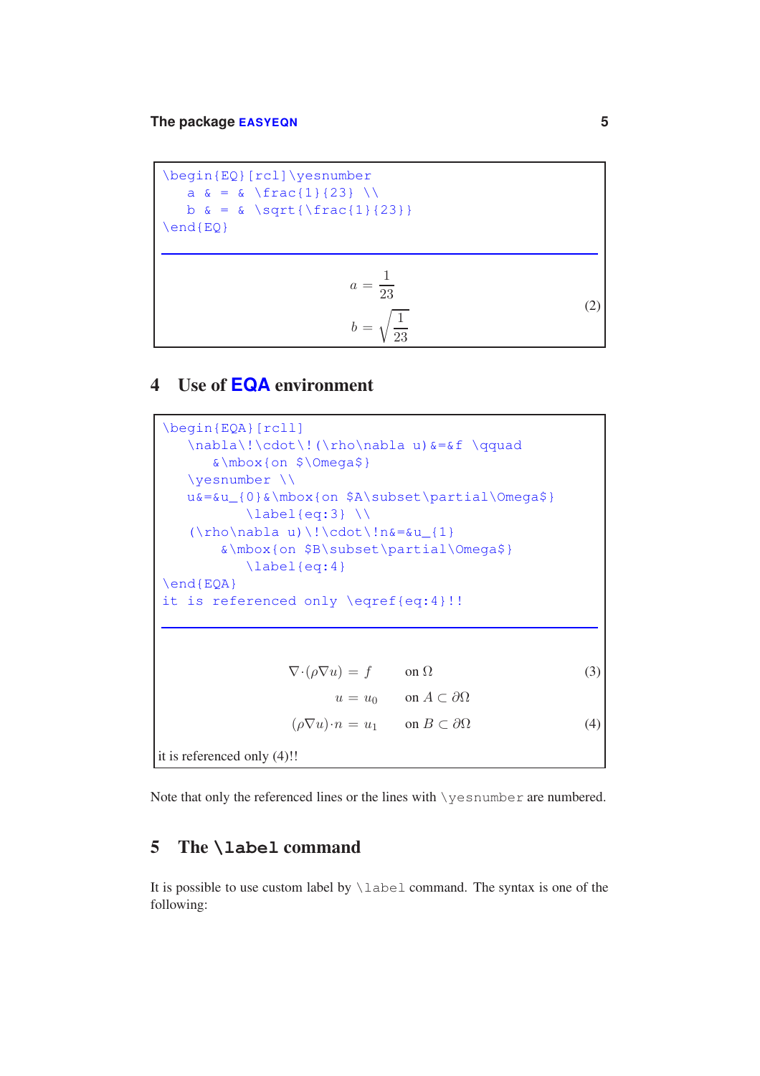\begin{EQ}[rcl]\yesnumber a  $\& = \& \frac{\frac{1}{23}}{\ \}$  $b \& = \& \sqrt{\sqrt{\frac{1}{23}}}$ \end{EQ}  $a = \frac{1}{23}$  $b=\sqrt{\frac{1}{25}}$ 23 (2)

### 4 Use of **EQA** environment

\begin{EQA}[rcll] \nabla\!\cdot\!(\rho\nabla u)&=&f \qquad &\mbox{on \$\Omega\$} \yesnumber \\ u&=&u\_{0}&\mbox{on \$A\subset\partial\Omega\$}  $\label{labeleq:q:1}$  $(\rho\neq 0) \lvert \cdot \cdot \cdot \cdot \rvert_{1}$ &\mbox{on \$B\subset\partial\Omega\$} \label{eq:4} \end{EQA} it is referenced only \eqref{eq:4}!!  $\nabla \cdot (\rho \nabla u) = f$  on  $\Omega$  (3)  $u = u_0$  on  $A \subset \partial\Omega$  $(\rho \nabla u) \cdot n = u_1$  on  $B \subset \partial \Omega$  (4) it is referenced only (4)!!

Note that only the referenced lines or the lines with \yesnumber are numbered.

#### 5 The **\label** command

It is possible to use custom label by  $\lambda$  about command. The syntax is one of the following: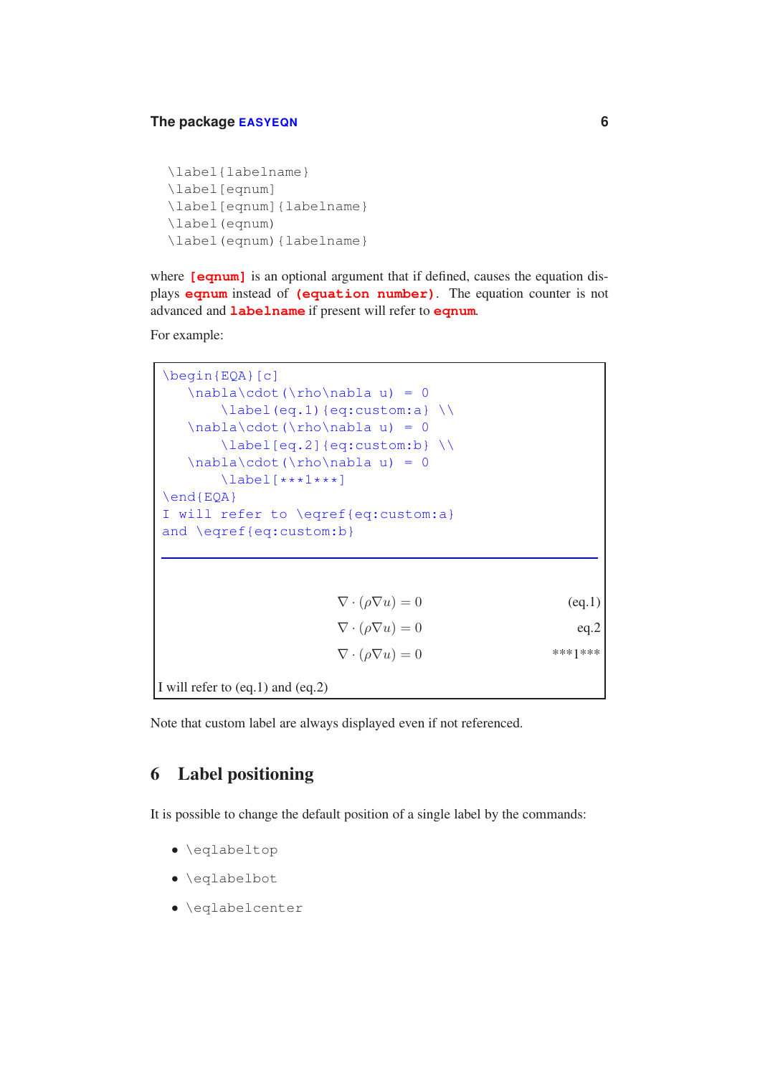```
\label{labelname}
\label[eqnum]
\label[eqnum]{labelname}
\label(eqnum)
\label(eqnum){labelname}
```
where **[eqnum]** is an optional argument that if defined, causes the equation displays **eqnum** instead of **(equation number)**. The equation counter is not advanced and **labelname** if present will refer to **eqnum**.

For example:

| $\begin{bmatrix} \begin{bmatrix} EQA \end{bmatrix}$<br>$\nabla\cdot(\rho\nabla u) = 0$<br>$\nabla\cdot(\rho\nabla u) = 0$<br>$\nabla\cdot(\rho\nabla u) = 0$<br>$\lambda$ label [***1***]<br>$\end{EQA}$<br>I will refer to \eqref{eq:custom:a}<br>and \eqref{eq:custom:b} | $\label{eq:labeleq:q.1}$ $\lambda$ abel (eq.1) {eq:custom:a} $\lambda$<br>$\label{label:q2} \Delta\left\{eq: \text{custom: b}\right\}$ |         |
|----------------------------------------------------------------------------------------------------------------------------------------------------------------------------------------------------------------------------------------------------------------------------|----------------------------------------------------------------------------------------------------------------------------------------|---------|
|                                                                                                                                                                                                                                                                            | $\nabla \cdot (\rho \nabla u) = 0$                                                                                                     | (eq.1)  |
|                                                                                                                                                                                                                                                                            | $\nabla \cdot (\rho \nabla u) = 0$                                                                                                     | eq.2    |
|                                                                                                                                                                                                                                                                            | $\nabla \cdot (\rho \nabla u) = 0$                                                                                                     | ***1*** |
| I will refer to $(eq.1)$ and $(eq.2)$                                                                                                                                                                                                                                      |                                                                                                                                        |         |

Note that custom label are always displayed even if not referenced.

### 6 Label positioning

It is possible to change the default position of a single label by the commands:

- \eqlabeltop
- \eqlabelbot
- \eqlabelcenter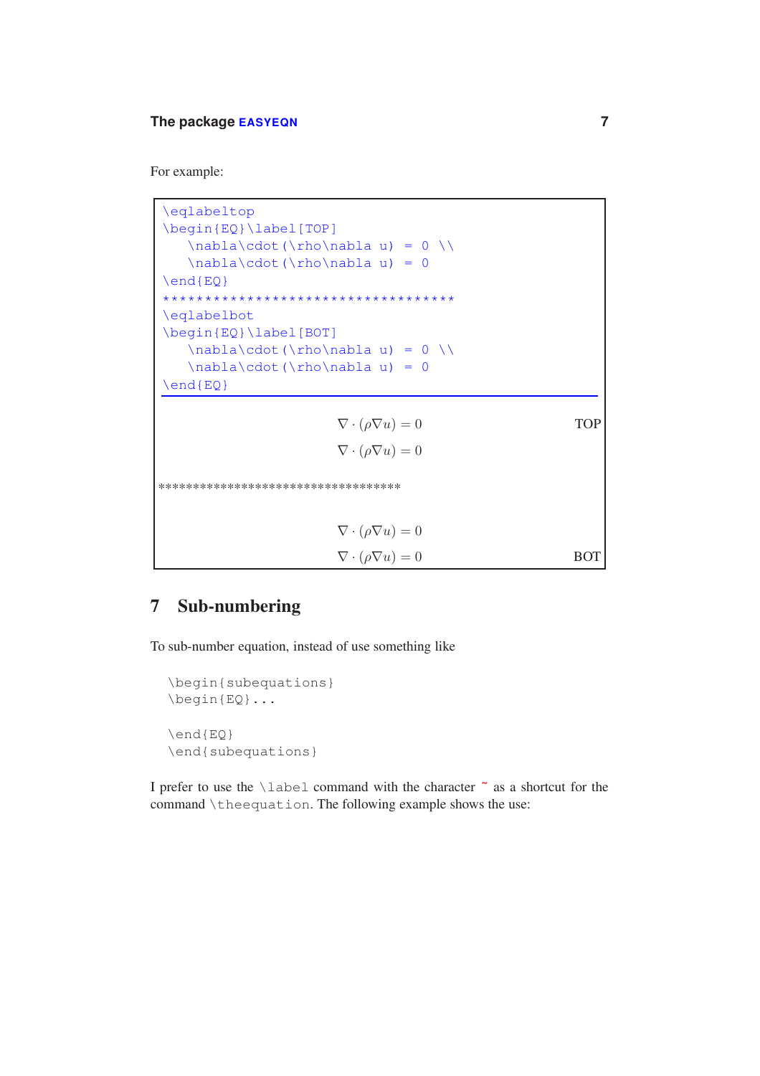For example:

\eqlabeltop \begin{EQ}\label[TOP]  $\nabla\cdot(\rho)\nabla u) = 0 \ \$  $\nabla\cdot(\rho)\nabla u) = 0$ \end{EQ} \*\*\*\*\*\*\*\*\*\*\*\*\*\*\*\*\*\*\*\*\*\*\*\*\*\*\*\*\*\*\*\*\*\*\* \eqlabelbot \begin{EQ}\label[BOT]  $\nabla\cdot(\rho)\nabla u) = 0 \ \iota$ \nabla\cdot(\rho\nabla u) = 0 \end{EQ}  $\nabla \cdot (\rho \nabla u) = 0$  $\nabla \cdot (\rho \nabla u) = 0$ TOP \*\*\*\*\*\*\*\*\*\*\*\*\*\*\*\*\*\*\*\*\*\*\*\*\*\*\*\*\*\*\*\*\*\*\*  $\nabla \cdot (\rho \nabla u) = 0$  $\nabla \cdot (\rho \nabla u) = 0$  BOT

### 7 Sub-numbering

To sub-number equation, instead of use something like

```
\begin{subequations}
\begin{EQ}...
\end{EQ}
\end{subequations}
```
I prefer to use the \label command with the character **˜** as a shortcut for the command \theequation. The following example shows the use: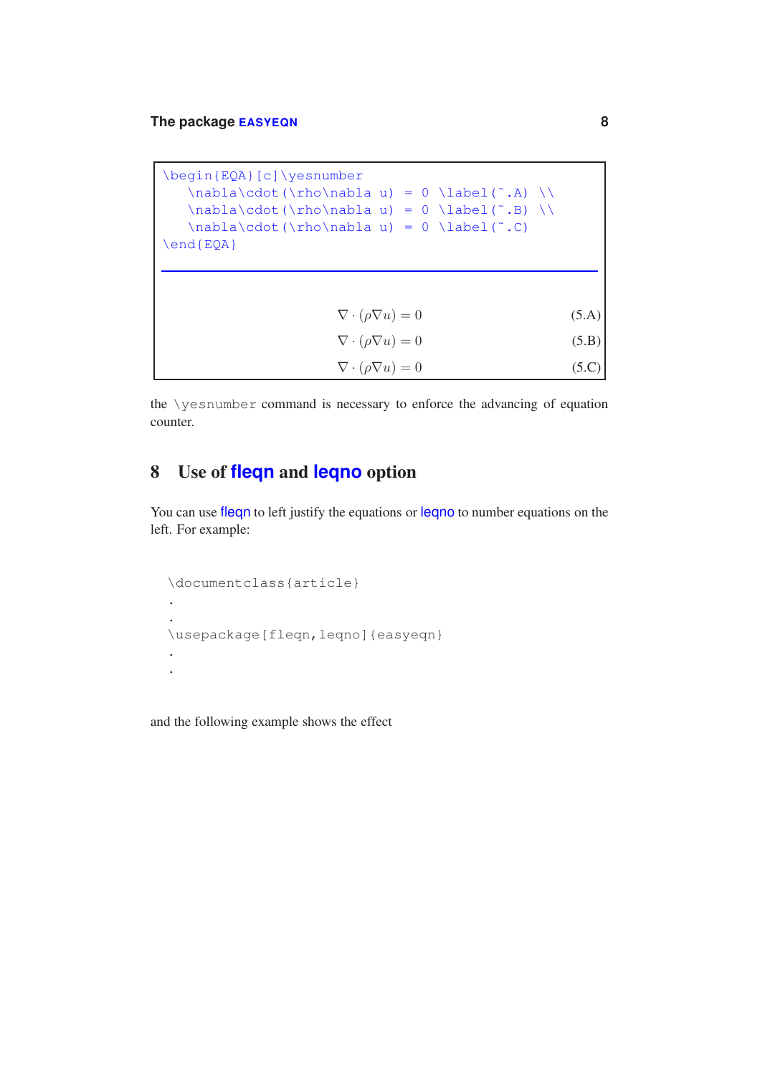| \begin{EQA}[c]\yesnumber                              |       |
|-------------------------------------------------------|-------|
| $\nabla\cdot(\rho\cdot u) = 0 \leq \hat{A} \leq \rho$ |       |
|                                                       |       |
| $\nabla\cdot(\rho\neq 0) = 0 \llabel{eq:1}$           |       |
| $\end{EOA}$                                           |       |
|                                                       |       |
|                                                       |       |
|                                                       |       |
| $\nabla \cdot (\rho \nabla u) = 0$                    | (5.A) |
| $\nabla \cdot (\rho \nabla u) = 0$                    | (5.B) |
| $\nabla \cdot (\rho \nabla u) = 0$                    |       |

the \yesnumber command is necessary to enforce the advancing of equation counter.

## 8 Use of **fleqn** and **leqno** option

You can use fleqn to left justify the equations or leqno to number equations on the left. For example:

```
\documentclass{article}
.
.
\usepackage[fleqn,leqno]{easyeqn}
.
.
```
and the following example shows the effect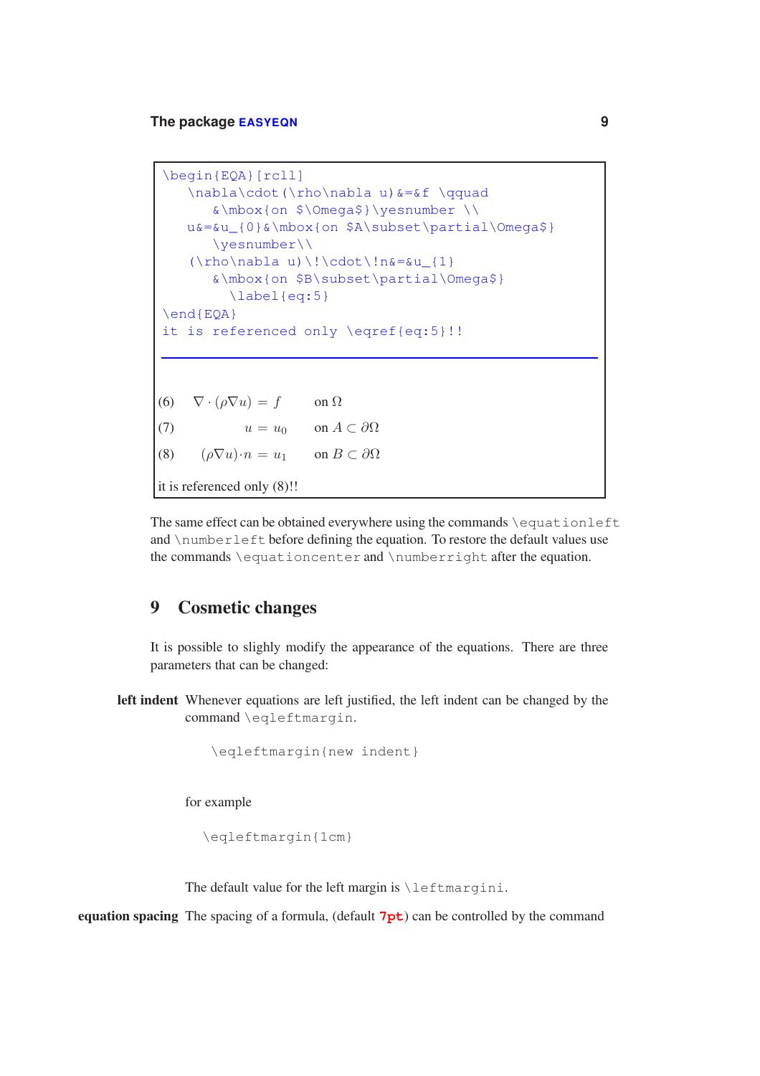```
\begin{EQA}[rcll]
    \nabla\cdot(\rho\nabla u)&=&f \qquad
        &\mbox{on $\Omega$}\yesnumber \\
    u&=&u_{0}&\mbox{on $A\subset\partial\Omega$}
        \yesnumber\\
    (\rho\neq 0) \lvert \cdot \cdot \cdot \cdot \rvert_{1}&\mbox{on $B\subset\partial\Omega$}
           \label{eq:5}
\end{EQA}
it is referenced only \eqref{eq:5}!!
(6) \nabla \cdot (\rho \nabla u) = f on \Omega(7) u = u_0 on A \subset \partial \Omega(8) (\rho \nabla u) \cdot n = u_1 on B \subset \partial \Omegait is referenced only (8)!!
```
The same effect can be obtained everywhere using the commands \equationleft and \numberleft before defining the equation. To restore the default values use the commands \equationcenter and \numberright after the equation.

#### 9 Cosmetic changes

It is possible to slighly modify the appearance of the equations. There are three parameters that can be changed:

left indent Whenever equations are left justified, the left indent can be changed by the command \eqleftmargin.

```
\eqleftmargin{new indent}
```
for example

\eqleftmargin{1cm}

The default value for the left margin is \leftmargini.

equation spacing The spacing of a formula, (default **7pt**) can be controlled by the command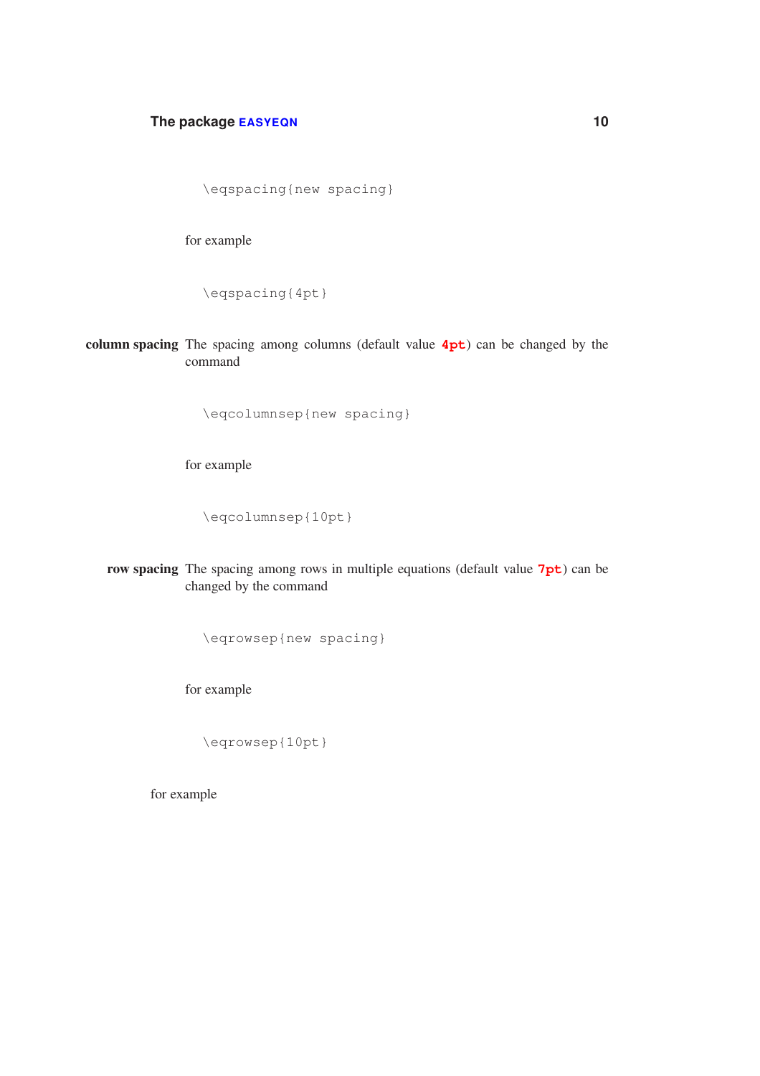```
\eqspacing{new spacing}
```
for example

\eqspacing{4pt}

column spacing The spacing among columns (default value **4pt**) can be changed by the command

\eqcolumnsep{new spacing}

for example

\eqcolumnsep{10pt}

row spacing The spacing among rows in multiple equations (default value **7pt**) can be changed by the command

\eqrowsep{new spacing}

for example

\eqrowsep{10pt}

for example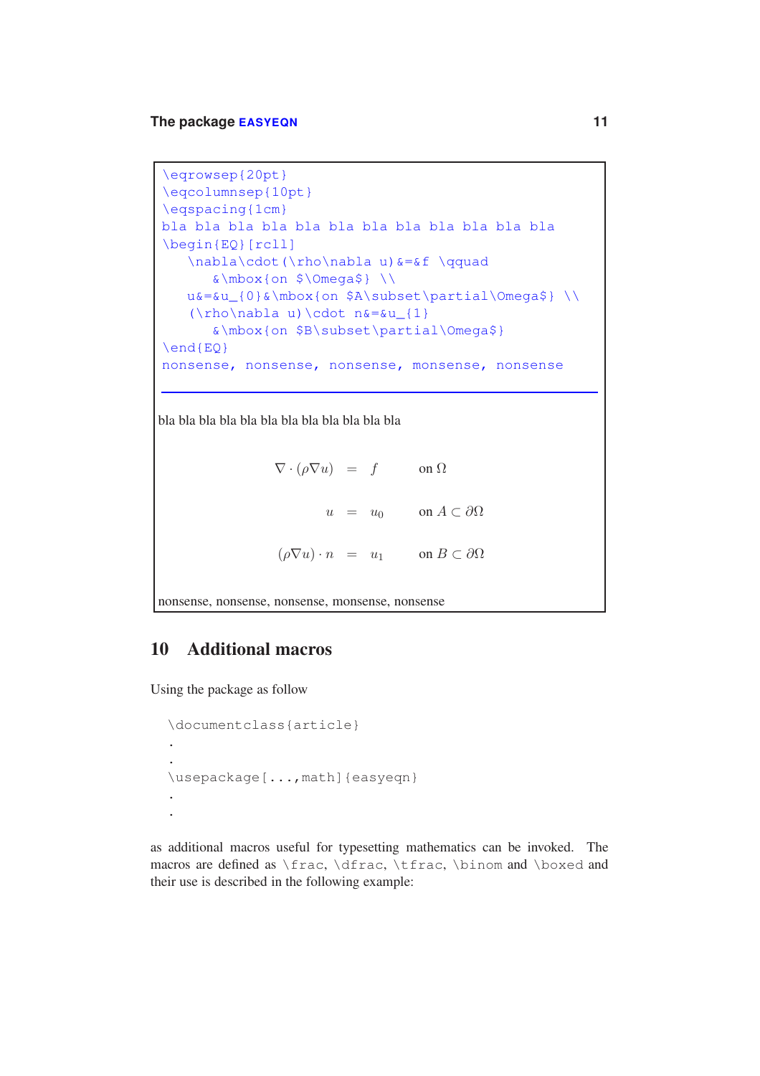```
\eqrowsep{20pt}
\eqcolumnsep{10pt}
\eqspacing{1cm}
bla bla bla bla bla bla bla bla bla bla bla bla
\begin{EQ}[rcll]
  \nabla\cdot(\rho\nabla u)&=&f \qquad
      \&\mbox{on } \&\Omegau&=&u_{0}&\mbox{on $A\subset\partial\Omega$} \\
   (\rho\neq 0) \cdot n\delta = \delta u_{1}&\mbox{on $B\subset\partial\Omega$}
\end{EQ}
nonsense, nonsense, nonsense, monsense, nonsense
```
bla bla bla bla bla bla bla bla bla bla bla bla

 $\nabla \cdot (\rho \nabla u) = f$  on  $\Omega$  $u = u_0$  on  $A \subset \partial\Omega$  $(\rho \nabla u) \cdot n = u_1$  on  $B \subset \partial \Omega$ 

nonsense, nonsense, nonsense, monsense, nonsense

#### 10 Additional macros

Using the package as follow

```
\documentclass{article}
.
.
\usepackage[...,math]{easyeqn}
.
.
```
as additional macros useful for typesetting mathematics can be invoked. The macros are defined as \frac, \dfrac, \tfrac, \binom and \boxed and their use is described in the following example: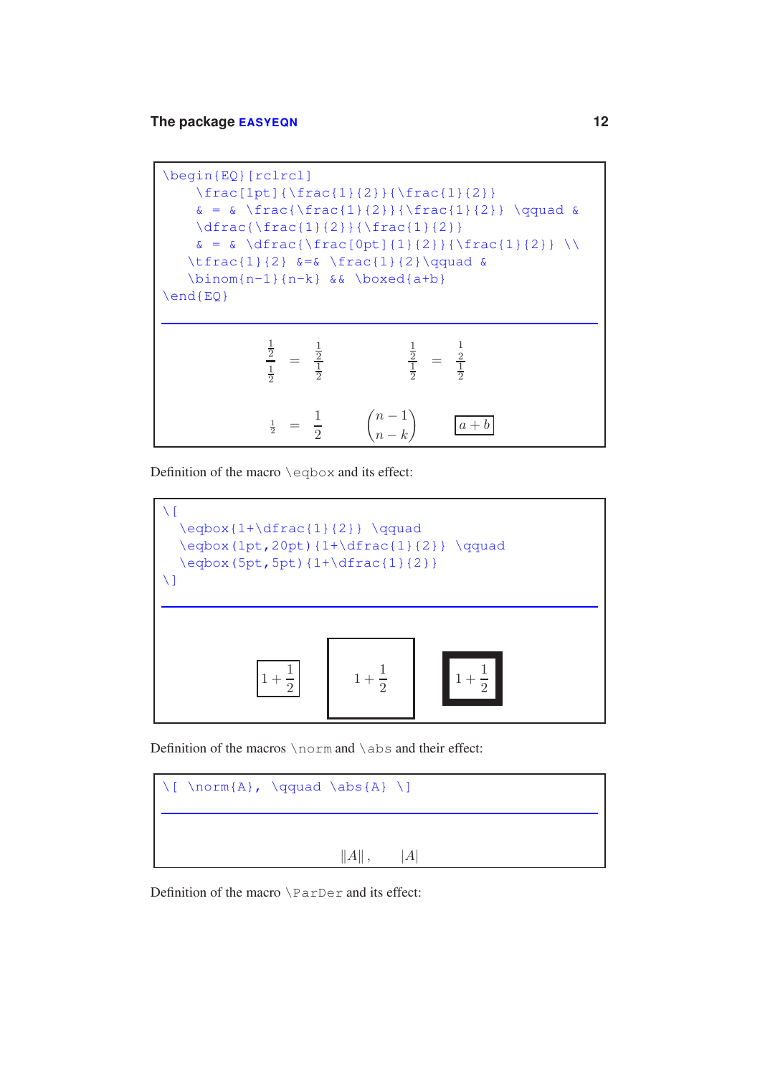

Definition of the macro \eqbox and its effect:



Definition of the macros \norm and \abs and their effect:



Definition of the macro \ParDer and its effect: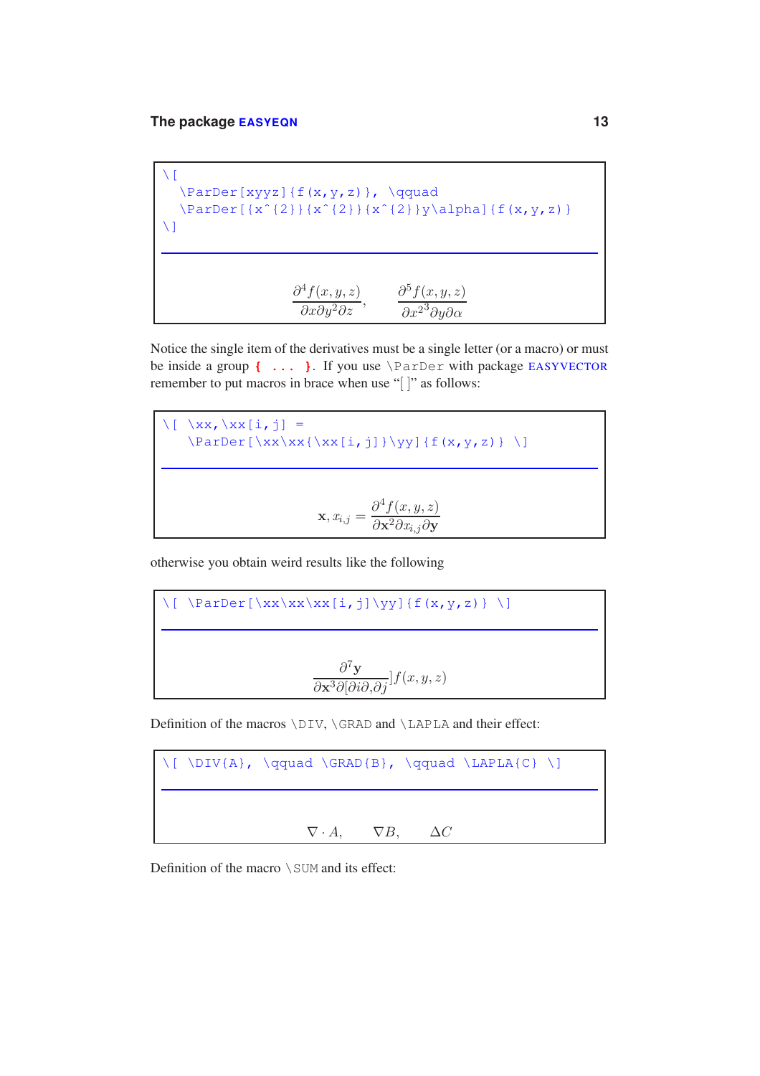$\setminus$  [ \ParDer[xyyz]{f(x,y,z)}, \qquad  $\{\sqrt{2}\}(x^{2}|\{x^{2}\}(x^{2})\$  \ParDer[{x^{2}}{x^{2}}y\alpha]{f(x,y,z)}  $\setminus$ ]  $\frac{\partial^4 f(x, y, z)}{\partial x \partial y^2 \partial z}$ ,  $\frac{\partial^5 f(x, y, z)}{\partial x^2 \partial y \partial \alpha}$ 

Notice the single item of the derivatives must be a single letter (or a macro) or must be inside a group **{ ... }**. If you use \ParDer with package EASYVECTOR remember to put macros in brace when use "[ ]" as follows:

$$
\sqrt{[\ \{x, \{x\} \} = \ \{ParDer[\ \{x, x \} \{ \} \} \] = \}
$$
\n
$$
\mathbf{x} \cdot \mathbf{x} \cdot \{ \{ \} \} \cdot \mathbf{y} \} \{ f(x, y, z) \} \setminus ]
$$
\n
$$
\mathbf{x} \cdot \mathbf{x} \cdot \mathbf{x} \cdot \mathbf{y} \cdot \mathbf{z}
$$

otherwise you obtain weird results like the following

$$
\frac{\sqrt{[\sqrt{ParDer}[\sqrt{xx} \cdot x][i, j] \cdot y]}{f(x, y, z)} \cdot \sqrt{\frac{\partial^7 y}{\partial x^3 \partial [\partial i \partial, \partial j]} f(x, y, z)}
$$

Definition of the macros \DIV, \GRAD and \LAPLA and their effect:



Definition of the macro  $\S$ UM and its effect: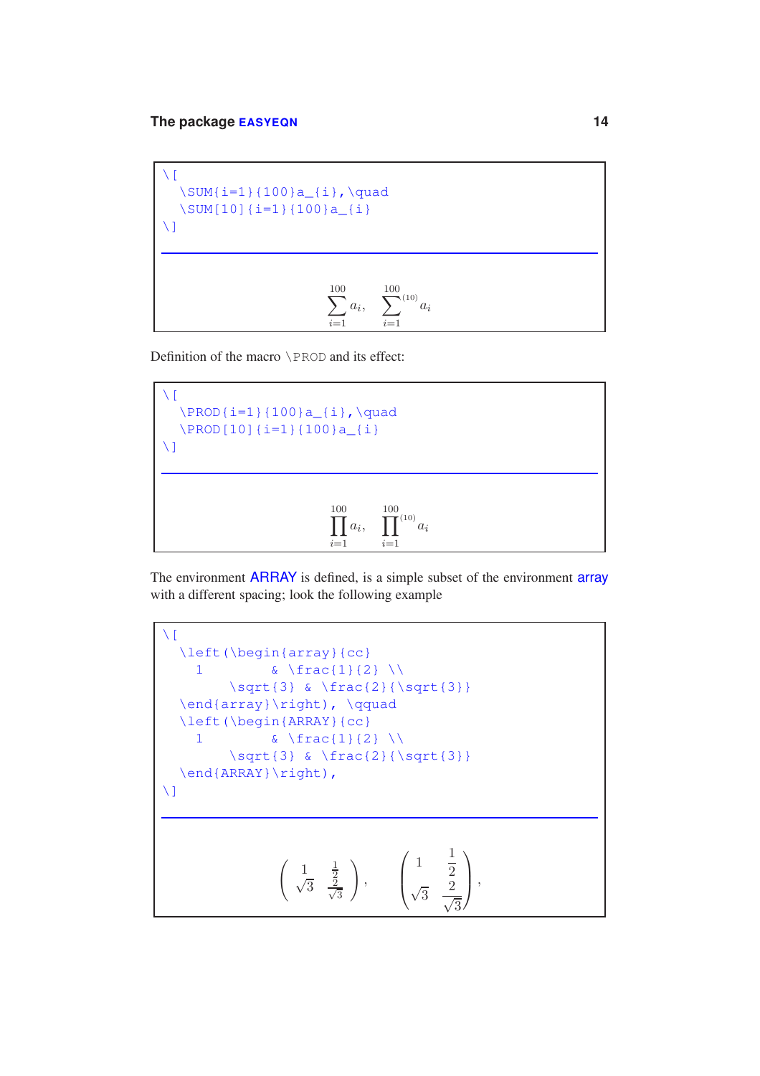```
\setminus [
   \sum_{i=1}^{100} a_{i}, \quad\SUM[10]{i=1}{100}a_{i}
\setminus]
                                  \sumi=1
                                       a_i, \sum\sum^{100}<sup>(10)</sup>a_ii=1
```
Definition of the macro \PROD and its effect:

$$
\sqrt{\frac{1}{\text{PROD} \{i=1\} \{100\} a_{i}, \quad \text{quad}}}
$$
\n
$$
\sqrt{\frac{1}{\text{PROD} \{10\} \{i=1\} \{100\} a_{i}, \quad \text{if } i=1} \}
$$

The environment **ARRAY** is defined, is a simple subset of the environment **array** with a different spacing; look the following example

```
\setminus[
   \left(\begin{array}{cc}
       1 \& \ \ \ \text{frac{1}{2} \ \ \ \ \ \ \ \ \ \ \ \ \ \ }\sqrt{3} & \frac{2}{\sqrt{3}}
   \end{array}\right), \qquad
   \left(\begin{ARRAY}{cc}
       1 \& \ \ \ \text{frac{1}{2} \ \ \ \ \ \ \ \ \ \ \ \ \ }\sqrt{3} & \frac{2}{\sqrt{3}}\end{ARRAY}\right),
\setminus]
                          \left( \begin{array}{cc} 1 & \frac{1}{2} \end{array} \right)\sqrt{3} \frac{2}{7}3
                                           \setminus,
                                                      \sqrt{2}\left| \right|1 \frac{1}{2}2
                                                         \sqrt{3} \frac{2}{7}\sqrt{3}\setminus\vert,
```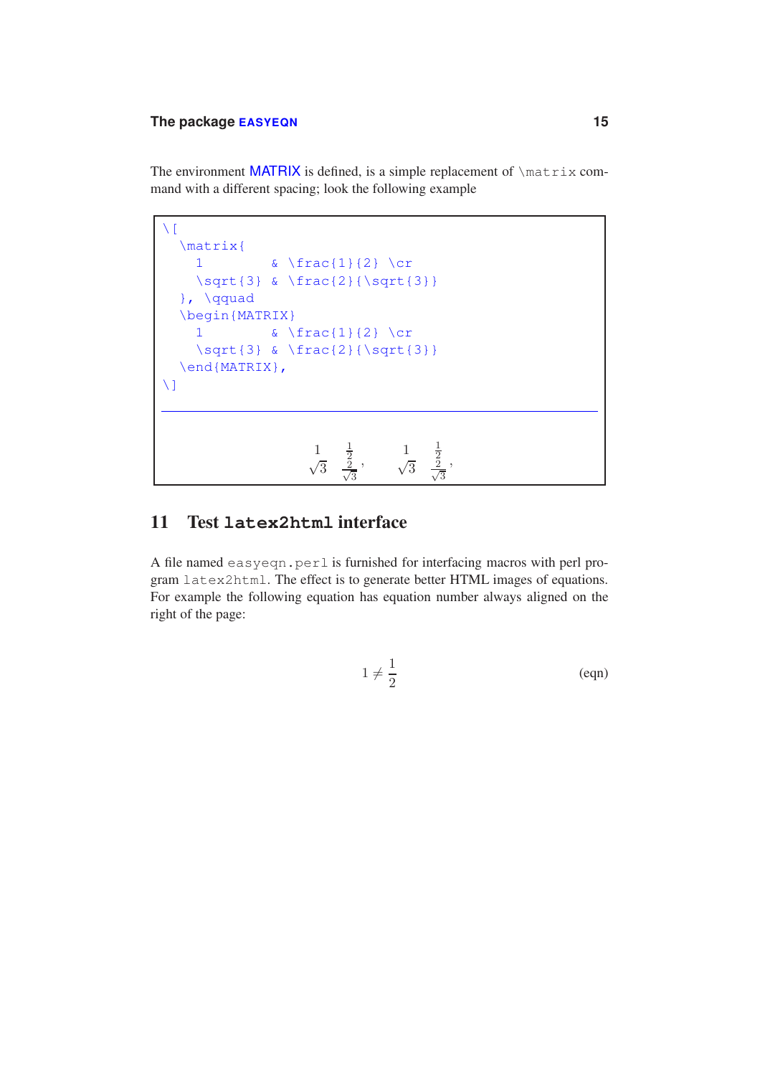The environment MATRIX is defined, is a simple replacement of  $\mathtt{matrix~com}$ mand with a different spacing; look the following example

```
\setminus[
   \matrix{
      1 \& \text{frac}{1}{2} \text{cr}\sqrt{3} & \frac{2}{\sqrt{3}}}, \qquad
   \begin{MATRIX}
      1 \& \text{frac}{1}{2} \text{cr}\sqrt{3} & \frac{2}{\sqrt{3}}
   \end{MATRIX},
\bar{\mathcal{M}}\frac{1}{2}\frac{1}{\sqrt{3}}\overline{3} \frac{2}{7}3
                                          \frac{1}{\sqrt{3}} \frac{\frac{1}{2}}{\frac{2}{\sqrt{3}}}\frac{2}{2}3
                                                             ,
```
#### 11 Test **latex2html** interface

A file named easyeqn.perl is furnished for interfacing macros with perl program latex2html. The effect is to generate better HTML images of equations. For example the following equation has equation number always aligned on the right of the page:

$$
1 \neq \frac{1}{2} \tag{eqn}
$$